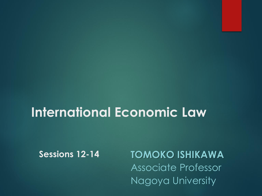# **International Economic Law**

**Sessions 12-14**

**TOMOKO ISHIKAWA** Associate Professor Nagoya University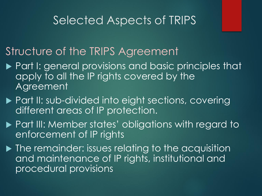#### Structure of the TRIPS Agreement

- ▶ Part I: general provisions and basic principles that apply to all the IP rights covered by the Agreement
- ▶ Part II: sub-divided into eight sections, covering different areas of IP protection.
- ▶ Part III: Member states' obligations with regard to enforcement of IP rights
- $\blacktriangleright$  The remainder: issues relating to the acquisition and maintenance of IP rights, institutional and procedural provisions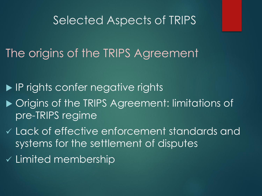# The origins of the TRIPS Agreement

**IF rights confer negative rights** 

- ▶ Origins of the TRIPS Agreement: limitations of pre-TRIPS regime
- ✓ Lack of effective enforcement standards and systems for the settlement of disputes
- ✓ Limited membership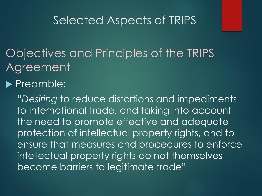Objectives and Principles of the TRIPS Agreement

#### **Preamble:**

"*Desiring* to reduce distortions and impediments to international trade, and taking into account the need to promote effective and adequate protection of intellectual property rights, and to ensure that measures and procedures to enforce intellectual property rights do not themselves become barriers to legitimate trade"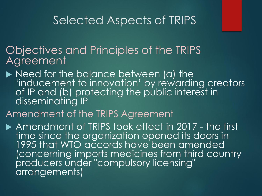Objectives and Principles of the TRIPS **Agreement** 

▶ Need for the balance between (a) the 'inducement to innovation' by rewarding creators of IP and (b) protecting the public interest in disseminating IP

#### Amendment of the TRIPS Agreement

Amendment of TRIPS took effect in 2017 - the first time since the organization opened its doors in 1995 that WTO accords have been amended (concerning imports medicines from third country producers under "compulsory licensing" arrangements)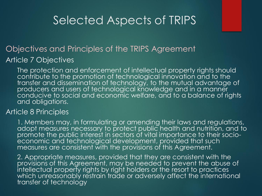#### Objectives and Principles of the TRIPS Agreement Article 7 Objectives

The protection and enforcement of intellectual property rights should contribute to the promotion of technological innovation and to the transfer and dissemination of technology, to the mutual advantage of producers and users of technological knowledge and in a manner conducive to social and economic welfare, and to a balance of rights and obligations.

#### Article 8 Principles

1. Members may, in formulating or amending their laws and regulations, adopt measures necessary to protect public health and nutrition, and to promote the public interest in sectors of vital importance to their socioeconomic and technological development, provided that such measures are consistent with the provisions of this Agreement.

2. Appropriate measures, provided that they are consistent with the provisions of this Agreement, may be needed to prevent the abuse of intellectual property rights by right holders or the resort to practices which unreasonably restrain trade or adversely affect the international transfer of technology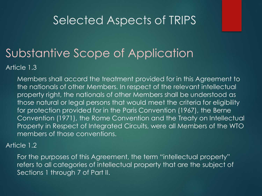# Substantive Scope of Application

Article 1.3

Members shall accord the treatment provided for in this Agreement to the nationals of other Members. In respect of the relevant intellectual property right, the nationals of other Members shall be understood as those natural or legal persons that would meet the criteria for eligibility for protection provided for in the Paris Convention (1967), the Berne Convention (1971), the Rome Convention and the Treaty on Intellectual Property in Respect of Integrated Circuits, were all Members of the WTO members of those conventions.

#### Article 1.2

For the purposes of this Agreement, the term "intellectual property" refers to all categories of intellectual property that are the subject of Sections 1 through 7 of Part II.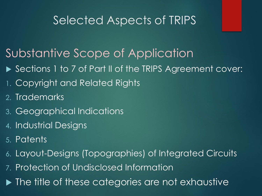# Substantive Scope of Application

- ▶ Sections 1 to 7 of Part II of the TRIPS Agreement cover:
- 1. Copyright and Related Rights
- 2. Trademarks
- 3. Geographical Indications
- 4. Industrial Designs
- 5. Patents
- 6. Layout-Designs (Topographies) of Integrated Circuits
- 7. Protection of Undisclosed Information
- $\blacktriangleright$  The title of these categories are not exhaustive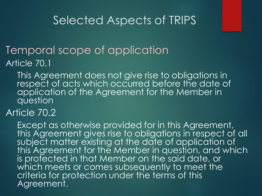# Temporal scope of application

Article 70.1

This Agreement does not give rise to obligations in respect of acts which occurred before the date of application of the Agreement for the Member in question

Article 70.2

Except as otherwise provided for in this Agreement, this Agreement gives rise to obligations in respect of all subject matter existing at the date of application of this Agreement for the Member in question, and which is protected in that Member on the said date, or which meets or comes subsequently to meet the criteria for protection under the terms of this Agreement.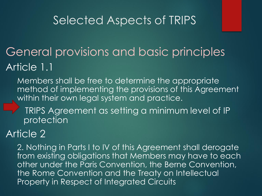# General provisions and basic principles Article 1.1

Members shall be free to determine the appropriate method of implementing the provisions of this Agreement within their own legal system and practice.

TRIPS Agreement as setting a minimum level of IP protection

#### Article 2

2. Nothing in Parts I to IV of this Agreement shall derogate from existing obligations that Members may have to each other under the Paris Convention, the Berne Convention, the Rome Convention and the Treaty on Intellectual Property in Respect of Integrated Circuits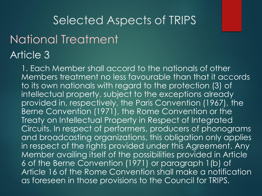### National Treatment Article 3

1. Each Member shall accord to the nationals of other Members treatment no less favourable than that it accords to its own nationals with regard to the protection (3) of intellectual property, subject to the exceptions already provided in, respectively, the Paris Convention (1967), the Berne Convention (1971), the Rome Convention or the Treaty on Intellectual Property in Respect of Integrated Circuits. In respect of performers, producers of phonograms and broadcasting organizations, this obligation only applies in respect of the rights provided under this Agreement. Any Member availing itself of the possibilities provided in Article 6 of the Berne Convention (1971) or paragraph 1(b) of Article 16 of the Rome Convention shall make a notification as foreseen in those provisions to the Council for TRIPS.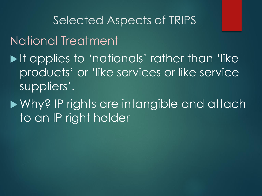Selected Aspects of TRIPS National Treatment If applies to 'nationals' rather than 'like products' or 'like services or like service suppliers'.

Why? IP rights are intangible and attach to an IP right holder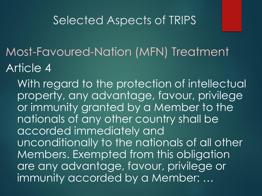- Most-Favoured-Nation (MFN) Treatment Article 4
	- With regard to the protection of intellectual property, any advantage, favour, privilege or immunity granted by a Member to the nationals of any other country shall be accorded immediately and unconditionally to the nationals of all other Members. Exempted from this obligation are any advantage, favour, privilege or immunity accorded by a Member: …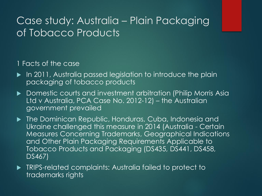#### 1 Facts of the case

- In 2011, Australia passed legislation to introduce the plain packaging of tobacco products
- ▶ Domestic courts and investment arbitration (Philip Morris Asia Ltd v Australia, PCA Case No. 2012-12) – the Australian government prevailed
- **The Dominican Republic, Honduras, Cuba, Indonesia and** Ukraine challenged this measure in 2014 (Australia - Certain Measures Concerning Trademarks, Geographical Indications and Other Plain Packaging Requirements Applicable to Tobacco Products and Packaging (DS435, DS441, DS458, DS467)
- **TRIPS-related complaints: Australia failed to protect to** trademarks rights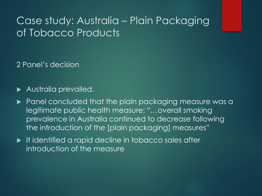2 Panel's decision

**Australia prevailed.** 

- **Panel concluded that the plain packaging measure was a** legitimate public health measure: "…overall smoking prevalence in Australia continued to decrease following the introduction of the [plain packaging] measures"
- It identified a rapid decline in tobacco sales after introduction of the measure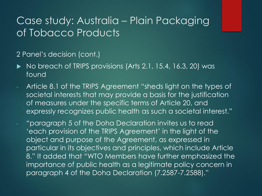#### 2 Panel's decision (cont.)

- $\blacktriangleright$  No breach of TRIPS provisions (Arts 2.1, 15.4, 16.3, 20) was found
- Article 8.1 of the TRIPS Agreement "sheds light on the types of societal interests that may provide a basis for the justification of measures under the specific terms of Article 20, and expressly recognizes public health as such a societal interest."
	- "paragraph 5 of the Doha Declaration invites us to read 'each provision of the TRIPS Agreement' in the light of the object and purpose of the Agreement, as expressed in particular in its objectives and principles, which include Article 8." It added that "WTO Members have further emphasized the importance of public health as a legitimate policy concern in paragraph 4 of the Doha Declaration (7.2587-7.2588)."